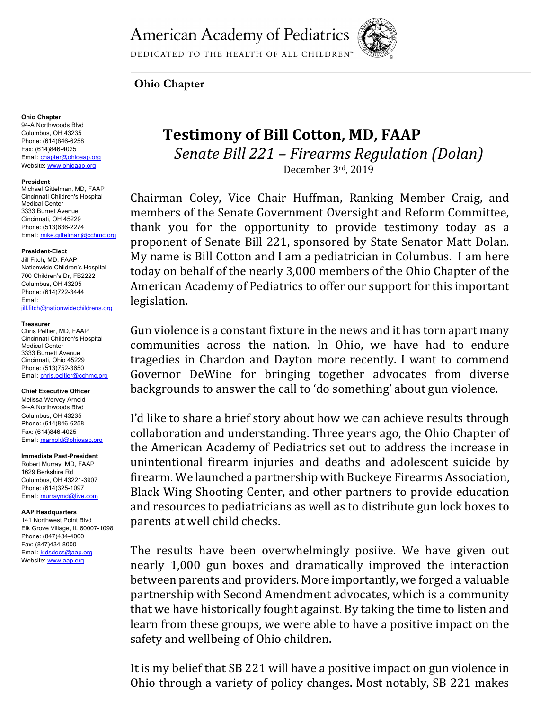**American Academy of Pediatrics** 



DEDICATED TO THE HEALTH OF ALL CHILDREN™

# **Ohio Chapter**

## **Ohio Chapter**

94-A Northwoods Blvd Columbus, OH 43235 Phone: (614)846-6258 Fax: (614)846-4025 Email: chapter@ohioaap.org Website: www.ohioaap.org

#### **President**

Michael Gittelman, MD, FAAP Cincinnati Children's Hospital Medical Center 3333 Burnet Avenue Cincinnati, OH 45229 Phone: (513)636-2274 Email: mike.gittelman@cchmc.org

#### **President-Elect**

Jill Fitch, MD, FAAP Nationwide Children's Hospital 700 Children's Dr, FB2222 Columbus, OH 43205 Phone: (614)722-3444 Email: jill.fitch@nationwidechildrens.org

## **Treasurer**

Chris Peltier, MD, FAAP Cincinnati Children's Hospital Medical Center 3333 Burnett Avenue Cincinnati, Ohio 45229 Phone: (513)752-3650 Email: chris.peltier@cchmc.org

#### **Chief Executive Officer**

Melissa Wervey Arnold 94-A Northwoods Blvd Columbus, OH 43235 Phone: (614)846-6258 Fax: (614)846-4025 Email: marnold@ohioaap.org

**Immediate Past-President** Robert Murray, MD, FAAP 1629 Berkshire Rd Columbus, OH 43221-3907 Phone: (614)325-1097 Email: murraymd@live.com

#### **AAP Headquarters**

141 Northwest Point Blvd Elk Grove Village, IL 60007-1098 Phone: (847)434-4000 Fax: (847)434-8000 Email: kidsdocs@aap.org Website: www.aap.org

# **Testimony of Bill Cotton, MD, FAAP** *Senate Bill 221 – Firearms Regulation (Dolan)* December 3rd, 2019

Chairman Coley, Vice Chair Huffman, Ranking Member Craig, and members of the Senate Government Oversight and Reform Committee, thank you for the opportunity to provide testimony today as a proponent of Senate Bill 221, sponsored by State Senator Matt Dolan. My name is Bill Cotton and I am a pediatrician in Columbus. I am here today on behalf of the nearly 3,000 members of the Ohio Chapter of the American Academy of Pediatrics to offer our support for this important legislation. 

Gun violence is a constant fixture in the news and it has torn apart many communities across the nation. In Ohio, we have had to endure tragedies in Chardon and Dayton more recently. I want to commend Governor DeWine for bringing together advocates from diverse backgrounds to answer the call to 'do something' about gun violence.

I'd like to share a brief story about how we can achieve results through collaboration and understanding. Three years ago, the Ohio Chapter of the American Academy of Pediatrics set out to address the increase in unintentional firearm injuries and deaths and adolescent suicide by firearm. We launched a partnership with Buckeye Firearms Association, Black Wing Shooting Center, and other partners to provide education and resources to pediatricians as well as to distribute gun lock boxes to parents at well child checks.

The results have been overwhelmingly posiive. We have given out nearly 1,000 gun boxes and dramatically improved the interaction between parents and providers. More importantly, we forged a valuable partnership with Second Amendment advocates, which is a community that we have historically fought against. By taking the time to listen and learn from these groups, we were able to have a positive impact on the safety and wellbeing of Ohio children.

It is my belief that SB 221 will have a positive impact on gun violence in Ohio through a variety of policy changes. Most notably, SB 221 makes